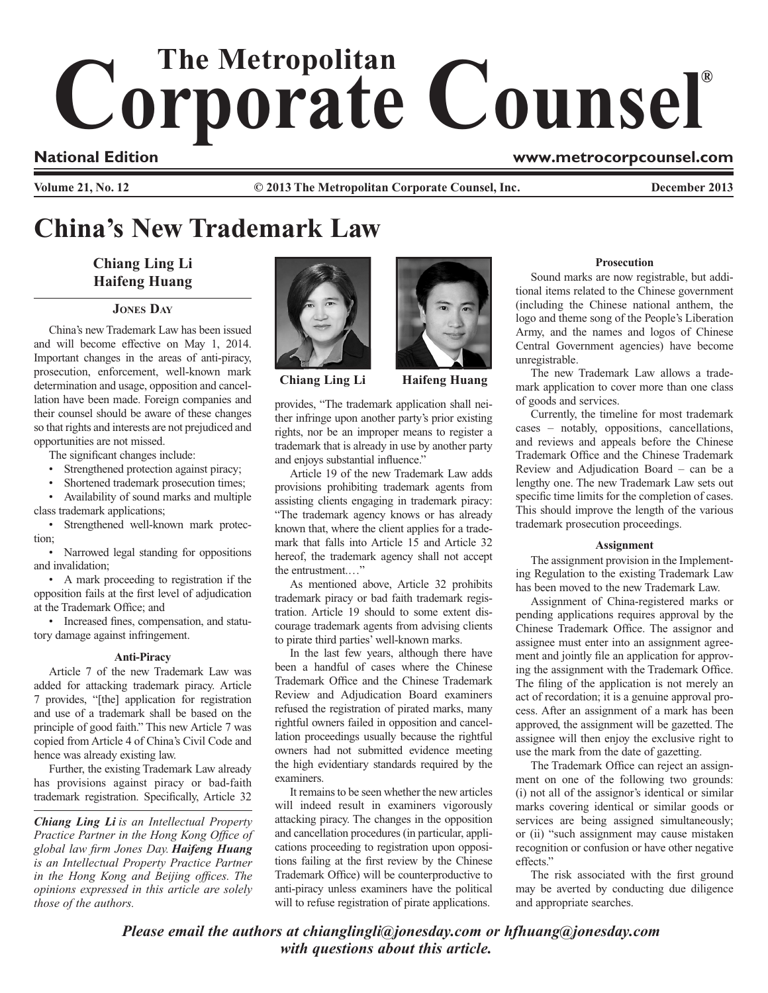# Corporate Counsel®

### **National Edition www.metrocorpcounsel.com**

**Volume 21, No. 12 © 2013 The Metropolitan Corporate Counsel, Inc. December 2013**

# **China's New Trademark Law**

## **Chiang Ling Li Haifeng Huang**

#### **Jones Day**

China's new Trademark Law has been issued and will become effective on May 1, 2014. Important changes in the areas of anti-piracy, prosecution, enforcement, well-known mark determination and usage, opposition and cancellation have been made. Foreign companies and their counsel should be aware of these changes so that rights and interests are not prejudiced and opportunities are not missed.

The significant changes include:

• Strengthened protection against piracy;

Shortened trademark prosecution times;

Availability of sound marks and multiple class trademark applications;

Strengthened well-known mark protection;

Narrowed legal standing for oppositions and invalidation;

• A mark proceeding to registration if the opposition fails at the first level of adjudication at the Trademark Office; and

• Increased fines, compensation, and statutory damage against infringement.

#### **Anti-Piracy**

Article 7 of the new Trademark Law was added for attacking trademark piracy. Article 7 provides, "[the] application for registration and use of a trademark shall be based on the principle of good faith." This new Article 7 was copied from Article 4 of China's Civil Code and hence was already existing law.

Further, the existing Trademark Law already has provisions against piracy or bad-faith trademark registration. Specifically, Article 32

*Chiang Ling Li is an Intellectual Property Practice Partner in the Hong Kong Office of global law firm Jones Day. Haifeng Huang is an Intellectual Property Practice Partner in the Hong Kong and Beijing offices. The opinions expressed in this article are solely those of the authors.*



**Chiang Ling Li Haifeng Huang**



provides, "The trademark application shall neither infringe upon another party's prior existing rights, nor be an improper means to register a trademark that is already in use by another party and enjoys substantial influence."

Article 19 of the new Trademark Law adds provisions prohibiting trademark agents from assisting clients engaging in trademark piracy: "The trademark agency knows or has already known that, where the client applies for a trademark that falls into Article 15 and Article 32 hereof, the trademark agency shall not accept the entrustment.…"

As mentioned above, Article 32 prohibits trademark piracy or bad faith trademark registration. Article 19 should to some extent discourage trademark agents from advising clients to pirate third parties' well-known marks.

In the last few years, although there have been a handful of cases where the Chinese Trademark Office and the Chinese Trademark Review and Adjudication Board examiners refused the registration of pirated marks, many rightful owners failed in opposition and cancellation proceedings usually because the rightful owners had not submitted evidence meeting the high evidentiary standards required by the examiners.

It remains to be seen whether the new articles will indeed result in examiners vigorously attacking piracy. The changes in the opposition and cancellation procedures (in particular, applications proceeding to registration upon oppositions failing at the first review by the Chinese Trademark Office) will be counterproductive to anti-piracy unless examiners have the political will to refuse registration of pirate applications.

#### **Prosecution**

Sound marks are now registrable, but additional items related to the Chinese government (including the Chinese national anthem, the logo and theme song of the People's Liberation Army, and the names and logos of Chinese Central Government agencies) have become unregistrable.

The new Trademark Law allows a trademark application to cover more than one class of goods and services.

Currently, the timeline for most trademark cases – notably, oppositions, cancellations, and reviews and appeals before the Chinese Trademark Office and the Chinese Trademark Review and Adjudication Board – can be a lengthy one. The new Trademark Law sets out specific time limits for the completion of cases. This should improve the length of the various trademark prosecution proceedings.

#### **Assignment**

The assignment provision in the Implementing Regulation to the existing Trademark Law has been moved to the new Trademark Law.

Assignment of China-registered marks or pending applications requires approval by the Chinese Trademark Office. The assignor and assignee must enter into an assignment agreement and jointly file an application for approving the assignment with the Trademark Office. The filing of the application is not merely an act of recordation; it is a genuine approval process. After an assignment of a mark has been approved, the assignment will be gazetted. The assignee will then enjoy the exclusive right to use the mark from the date of gazetting.

The Trademark Office can reject an assignment on one of the following two grounds: (i) not all of the assignor's identical or similar marks covering identical or similar goods or services are being assigned simultaneously; or (ii) "such assignment may cause mistaken recognition or confusion or have other negative effects."

The risk associated with the first ground may be averted by conducting due diligence and appropriate searches.

*Please email the authors at chianglingli@jonesday.com or hfhuang@jonesday.com with questions about this article.*